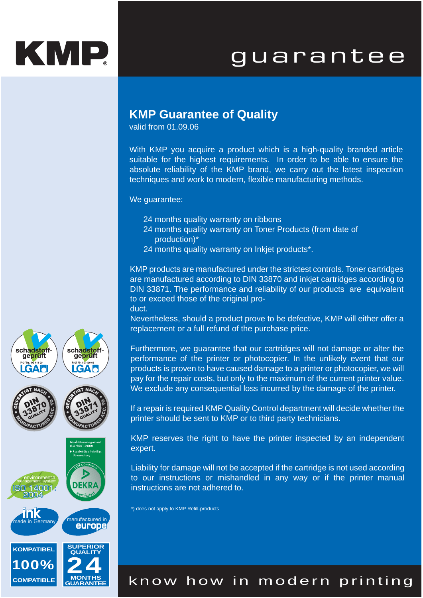## KMP.

## guarantee

### **KMP Guarantee of Quality**

valid from 01.09.06

With KMP you acquire a product which is a high-quality branded article suitable for the highest requirements. In order to be able to ensure the absolute reliability of the KMP brand, we carry out the latest inspection techniques and work to modern, flexible manufacturing methods.

We quarantee:

- 24 months quality warranty on ribbons
- 24 months quality warranty on Toner Products (from date of production)\*
- 24 months quality warranty on Inkjet products\*.

KMP products are manufactured under the strictest controls. Toner cartridges are manufactured according to DIN 33870 and inkjet cartridges according to DIN 33871. The performance and reliability of our products are equivalent to or exceed those of the original product.

Nevertheless, should a product prove to be defective, KMP will either offer a replacement or a full refund of the purchase price.

Furthermore, we guarantee that our cartridges will not damage or alter the performance of the printer or photocopier. In the unlikely event that our products is proven to have caused damage to a printer or photocopier, we will pay for the repair costs, but only to the maximum of the current printer value. We exclude any consequential loss incurred by the damage of the printer.

If a repair is required KMP Quality Control department will decide whether the printer should be sent to KMP or to third party technicians.

KMP reserves the right to have the printer inspected by an independent expert.

Liability for damage will not be accepted if the cartridge is not used according to our instructions or mishandled in any way or if the printer manual instructions are not adhered to.

\*) does not apply to KMP Refill-products



**COMPATIBLE**

**MONTHS GUARANTEE**

### know how in modern printing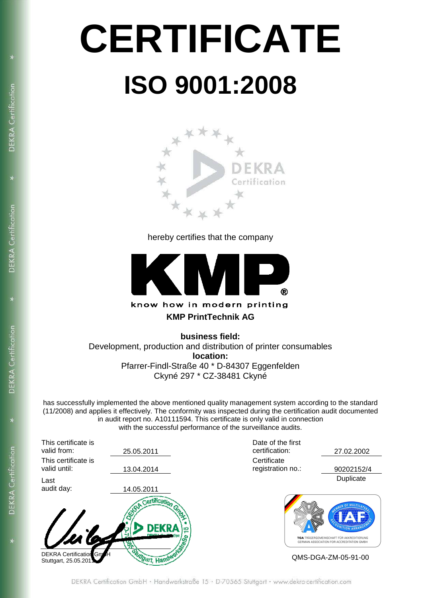# **CERTIFICATE ISO 9001:2008**

**DEKRA** Certification

DEKRA Certification

DEKRA Certification

**DEKRA** Certification



hereby certifies that the company



**business field:**  Development, production and distribution of printer consumables **location:**  Pfarrer-Findl-Straße 40 \* D-84307 Eggenfelden Ckyné 297 \* CZ-38481 Ckyné

has successfully implemented the above mentioned quality management system according to the standard (11/2008) and applies it effectively. The conformity was inspected during the certification audit documented in audit report no. A10111594. This certificate is only valid in connection with the successful performance of the surveillance audits.

| This certificate is<br>valid from:      | 25.05.2011                                               | Date of the first<br>certification: | 27.02.2002                                                                                                 |  |
|-----------------------------------------|----------------------------------------------------------|-------------------------------------|------------------------------------------------------------------------------------------------------------|--|
|                                         |                                                          |                                     |                                                                                                            |  |
| This certificate is                     |                                                          | Certificate                         |                                                                                                            |  |
| valid until:                            | 13.04.2014                                               | registration no.:                   | 90202152/4                                                                                                 |  |
| Last                                    |                                                          |                                     | Duplicate                                                                                                  |  |
| audit day:                              | 14.05.2011                                               |                                     |                                                                                                            |  |
| mila<br><b>DEKRA Certification GmoH</b> | Certification<br><b>DEKRA</b><br>LO.<br>"Mgart, Handwerk |                                     | <b>ITION ARR</b><br>TGA TRÄGERGEMEINSCHAFT FÜR AKKREDITIERUNG<br>GERMAN ASSOCIATION FOR ACCREDITATION GMBH |  |
| Stuttgart, 25.05.2011                   |                                                          | QMS-DGA-ZM-05-91-00                 |                                                                                                            |  |